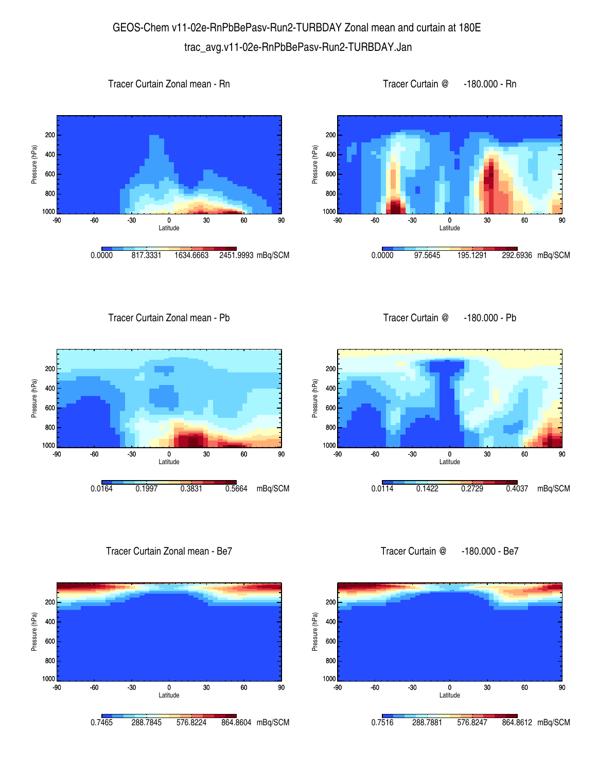## GEOS-Chem v11-02e-RnPbBePasv-Run2-TURBDAY Zonal mean and curtain at 180E trac\_avg.v11-02e-RnPbBePasv-Run2-TURBDAY.Jan







1000 <mark>L</mark><br>-90

800 600

400

Pressure (hPa)

Pressure (hPa)

200

Tracer Curtain Zonal mean - Pb

Tracer Curtain @ -180.000 - Pb



Tracer Curtain Zonal mean - Be7



Tracer Curtain @ -180.000 - Be7

-90 -60 -30 0 30 60 90 Latitude

0.0114 0.1422 0.2729 0.4037 mBq/SCM